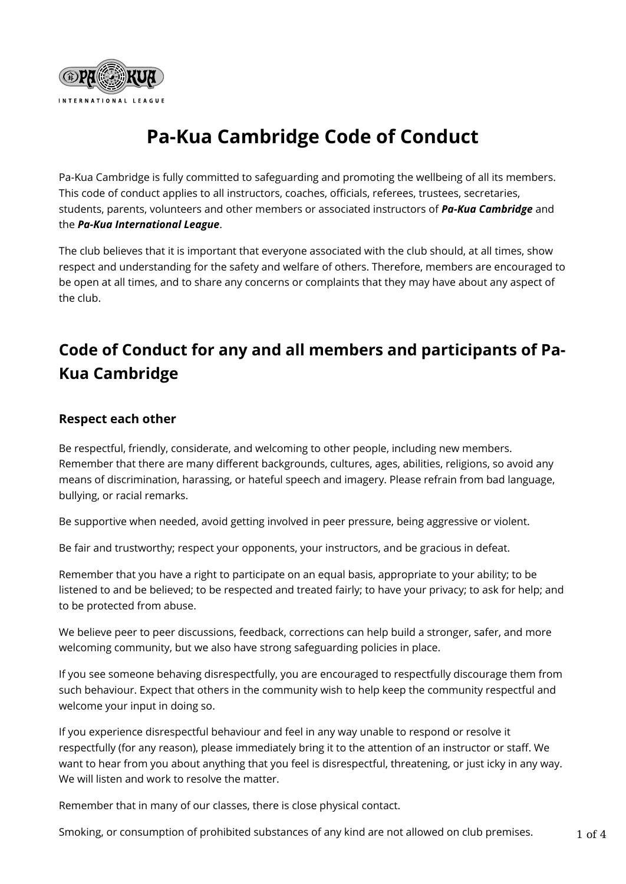

## **Pa-Kua Cambridge Code of Conduct**

Pa-Kua Cambridge is fully committed to safeguarding and promoting the wellbeing of all its members. This code of conduct applies to all instructors, coaches, officials, referees, trustees, secretaries, students, parents, volunteers and other members or associated instructors of *Pa-Kua Cambridge* and the *Pa-Kua International League*.

The club believes that it is important that everyone associated with the club should, at all times, show respect and understanding for the safety and welfare of others. Therefore, members are encouraged to be open at all times, and to share any concerns or complaints that they may have about any aspect of the club.

## **Code of Conduct for any and all members and participants of Pa-Kua Cambridge**

### **Respect each other**

Be respectful, friendly, considerate, and welcoming to other people, including new members. Remember that there are many different backgrounds, cultures, ages, abilities, religions, so avoid any means of discrimination, harassing, or hateful speech and imagery. Please refrain from bad language, bullying, or racial remarks.

Be supportive when needed, avoid getting involved in peer pressure, being aggressive or violent.

Be fair and trustworthy; respect your opponents, your instructors, and be gracious in defeat.

Remember that you have a right to participate on an equal basis, appropriate to your ability; to be listened to and be believed; to be respected and treated fairly; to have your privacy; to ask for help; and to be protected from abuse.

We believe peer to peer discussions, feedback, corrections can help build a stronger, safer, and more welcoming community, but we also have strong safeguarding policies in place.

If you see someone behaving disrespectfully, you are encouraged to respectfully discourage them from such behaviour. Expect that others in the community wish to help keep the community respectful and welcome your input in doing so.

If you experience disrespectful behaviour and feel in any way unable to respond or resolve it respectfully (for any reason), please immediately bring it to the attention of an instructor or staff. We want to hear from you about anything that you feel is disrespectful, threatening, or just icky in any way. We will listen and work to resolve the matter.

Remember that in many of our classes, there is close physical contact.

Smoking, or consumption of prohibited substances of any kind are not allowed on club premises.  $1 \text{ of } 4$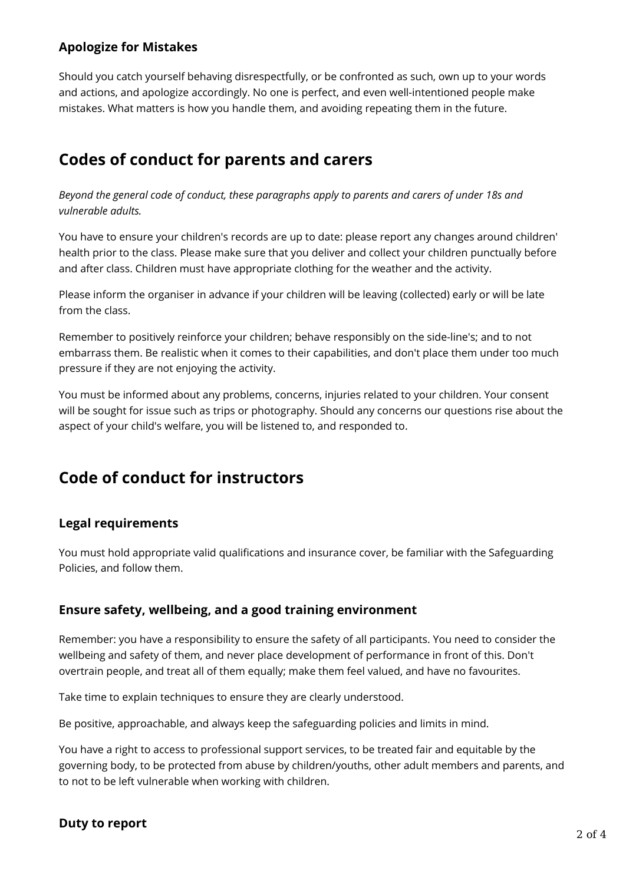#### **Apologize for Mistakes**

Should you catch yourself behaving disrespectfully, or be confronted as such, own up to your words and actions, and apologize accordingly. No one is perfect, and even well-intentioned people make mistakes. What matters is how you handle them, and avoiding repeating them in the future.

### **Codes of conduct for parents and carers**

*Beyond the general code of conduct, these paragraphs apply to parents and carers of under 18s and vulnerable adults.*

You have to ensure your children's records are up to date: please report any changes around children' health prior to the class. Please make sure that you deliver and collect your children punctually before and after class. Children must have appropriate clothing for the weather and the activity.

Please inform the organiser in advance if your children will be leaving (collected) early or will be late from the class.

Remember to positively reinforce your children; behave responsibly on the side-line's; and to not embarrass them. Be realistic when it comes to their capabilities, and don't place them under too much pressure if they are not enjoying the activity.

You must be informed about any problems, concerns, injuries related to your children. Your consent will be sought for issue such as trips or photography. Should any concerns our questions rise about the aspect of your child's welfare, you will be listened to, and responded to.

### **Code of conduct for instructors**

### **Legal requirements**

You must hold appropriate valid qualifications and insurance cover, be familiar with the Safeguarding Policies, and follow them.

#### **Ensure safety, wellbeing, and a good training environment**

Remember: you have a responsibility to ensure the safety of all participants. You need to consider the wellbeing and safety of them, and never place development of performance in front of this. Don't overtrain people, and treat all of them equally; make them feel valued, and have no favourites.

Take time to explain techniques to ensure they are clearly understood.

Be positive, approachable, and always keep the safeguarding policies and limits in mind.

You have a right to access to professional support services, to be treated fair and equitable by the governing body, to be protected from abuse by children/youths, other adult members and parents, and to not to be left vulnerable when working with children.

# **Duty to report** 2 of 4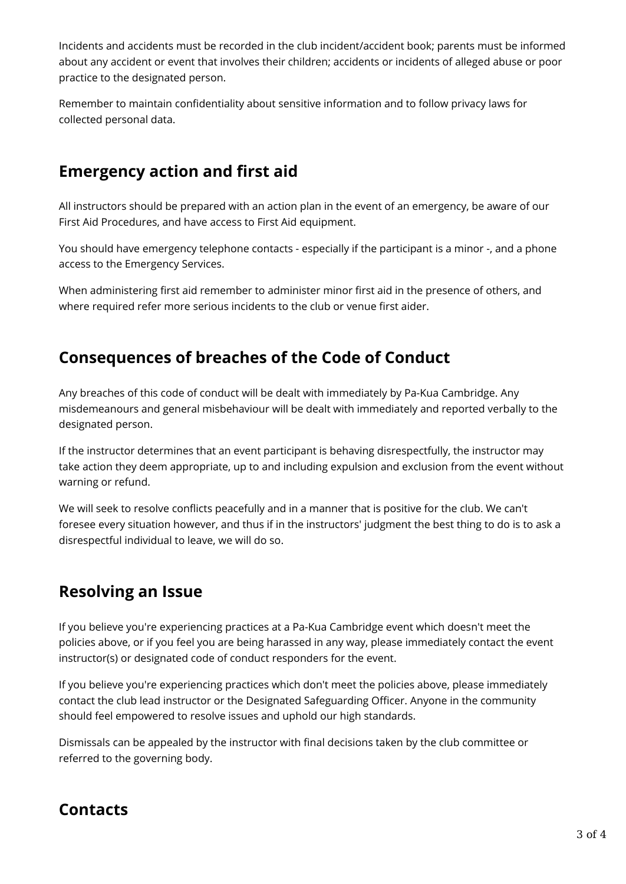Incidents and accidents must be recorded in the club incident/accident book; parents must be informed about any accident or event that involves their children; accidents or incidents of alleged abuse or poor practice to the designated person.

Remember to maintain confidentiality about sensitive information and to follow privacy laws for collected personal data.

### **Emergency action and first aid**

All instructors should be prepared with an action plan in the event of an emergency, be aware of our First Aid Procedures, and have access to First Aid equipment.

You should have emergency telephone contacts - especially if the participant is a minor -, and a phone access to the Emergency Services.

When administering first aid remember to administer minor first aid in the presence of others, and where required refer more serious incidents to the club or venue first aider.

### **Consequences of breaches of the Code of Conduct**

Any breaches of this code of conduct will be dealt with immediately by Pa-Kua Cambridge. Any misdemeanours and general misbehaviour will be dealt with immediately and reported verbally to the designated person.

If the instructor determines that an event participant is behaving disrespectfully, the instructor may take action they deem appropriate, up to and including expulsion and exclusion from the event without warning or refund.

We will seek to resolve conflicts peacefully and in a manner that is positive for the club. We can't foresee every situation however, and thus if in the instructors' judgment the best thing to do is to ask a disrespectful individual to leave, we will do so.

### **Resolving an Issue**

If you believe you're experiencing practices at a Pa-Kua Cambridge event which doesn't meet the policies above, or if you feel you are being harassed in any way, please immediately contact the event instructor(s) or designated code of conduct responders for the event.

If you believe you're experiencing practices which don't meet the policies above, please immediately contact the club lead instructor or the Designated Safeguarding Officer. Anyone in the community should feel empowered to resolve issues and uphold our high standards.

Dismissals can be appealed by the instructor with final decisions taken by the club committee or referred to the governing body.

### **Contacts**